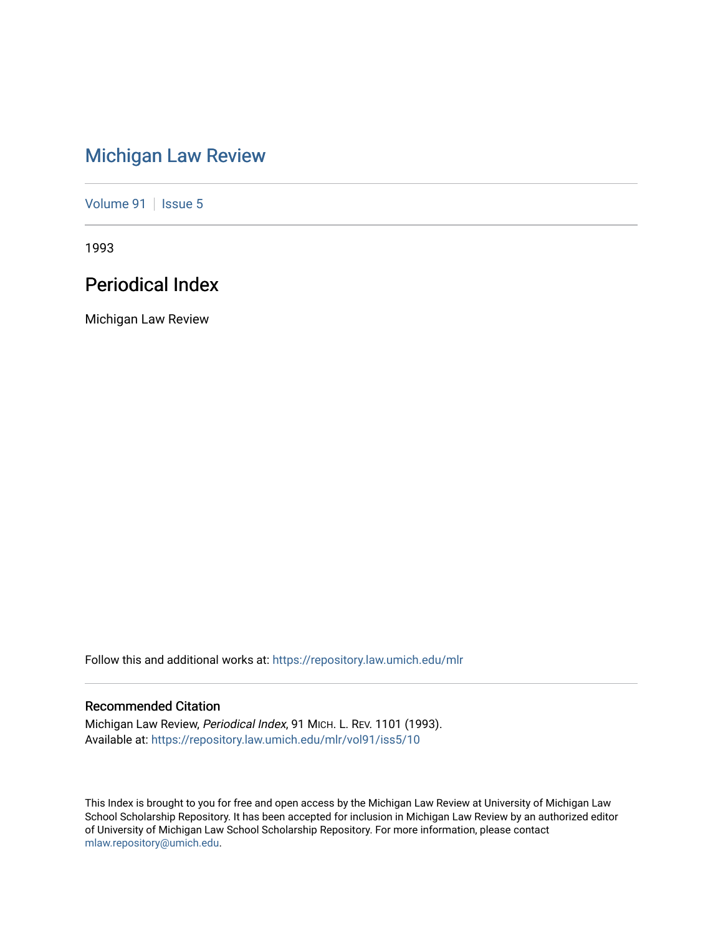# [Michigan Law Review](https://repository.law.umich.edu/mlr)

[Volume 91](https://repository.law.umich.edu/mlr/vol91) | [Issue 5](https://repository.law.umich.edu/mlr/vol91/iss5)

1993

# Periodical Index

Michigan Law Review

Follow this and additional works at: [https://repository.law.umich.edu/mlr](https://repository.law.umich.edu/mlr?utm_source=repository.law.umich.edu%2Fmlr%2Fvol91%2Fiss5%2F10&utm_medium=PDF&utm_campaign=PDFCoverPages) 

## Recommended Citation

Michigan Law Review, Periodical Index, 91 MICH. L. REV. 1101 (1993). Available at: [https://repository.law.umich.edu/mlr/vol91/iss5/10](https://repository.law.umich.edu/mlr/vol91/iss5/10?utm_source=repository.law.umich.edu%2Fmlr%2Fvol91%2Fiss5%2F10&utm_medium=PDF&utm_campaign=PDFCoverPages) 

This Index is brought to you for free and open access by the Michigan Law Review at University of Michigan Law School Scholarship Repository. It has been accepted for inclusion in Michigan Law Review by an authorized editor of University of Michigan Law School Scholarship Repository. For more information, please contact [mlaw.repository@umich.edu.](mailto:mlaw.repository@umich.edu)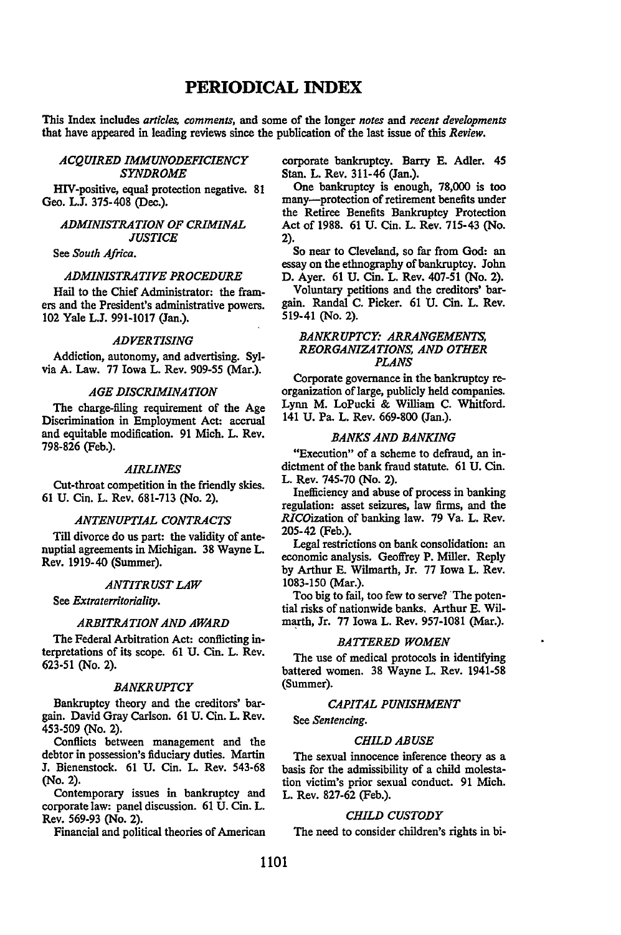## **PERIODICAL INDEX**

This Index includes *articles, comments,* and some of the longer *notes* and *recent developments*  that have appeared in leading reviews since the publication of the last issue of this *Review.* 

## *ACQUIRED IMMUNODEFICIENCY SYNDROME*

HIV-positive, equal protection negative. 81 Geo. L.J. 375-408 (Dec.).

## *ADMINISTRATION OF CRIMINAL JUSTICE*

See *South Africa.* 

## *ADMINISTRATIVE PROCEDURE*

Hail to the Chief Administrator: the framers and the President's administrative powers. 102 Yale L.J. 991-1017 (Jan.).

## *ADVERTISING*

Addiction, autonomy, and advertising. Sylvia A. Law. 77 Iowa L. Rev. 909-55 (Mar.).

## *AGE DISCRIMINATION*

The charge-filing requirement of the Age Discrimination in Employment Act: accrual and equitable modification. 91 Mich. L. Rev. 798-826 (Feb.).

#### *AIRLINES*

Cut-throat competition in the friendly skies. 61 U. Cin. L. Rev. 681-713 (No. 2).

#### *ANTENUPTIAL CONTRACTS*

Till divorce do us part: the validity of antenuptial agreements in Michigan. 38 Wayne L. Rev. 1919-40 (Summer).

#### *ANTITRUST LAW*

See *Extraterritoriality.* 

#### *ARBITRATION AND AWARD*

The Federal Arbitration Act: conflicting interpretations of its scope. 61 U. Cin. L. Rev. 623-51 (No. 2).

#### *BANKRUPTCY*

Bankruptcy theory and the creditors' bargain. David Gray Carlson. 61 U. Cin. L. Rev. 453-509 (No. 2).

Conflicts between management and the debtor in possession's fiduciary duties. Martin J. Bienenstock. 61 U. Cin. L. Rev. 543-68 (No. 2).

Contemporary issues in bankruptcy and corporate law: panel discussion. 61 U. Cin. L. Rev. 569-93 (No. 2).

Financial and political theories of American

corporate bankruptcy. Barry E. Adler. 45 Stan. L. Rev. 311-46 (Jan.).

One bankruptcy is enough, 78,000 is too many-protection of retirement benefits under the Retiree Benefits Bankruptcy Protection Act of 1988. 61 U. Cin. L. Rev. 715-43 (No. 2).

So near to Cleveland, so far from God: an essay on the ethnography of bankruptcy. John D. Ayer. 61 U. Cin. L. Rev. 407-51 (No. 2).

Voluntary petitions and the creditors' bargain. Randal C. Picker. 61 U. Cin. L. Rev. 519-41 (No. 2).

## *BANKRUPTCY: ARRANGEMENTS, REORGANIZATIONS, AND OTHER PLANS*

Corporate governance in the bankruptcy reorganization of large, publicly held companies. Lynn M. LoPucki & William C. Whitford. 141 U. Pa. L. Rev. 669-800 (Jan.).

#### *BANKS AND BANKING*

"Execution" of a scheme to defraud, an indictment of the bank fraud statute. 61 U. Cin. L. Rev. 745-70 (No. 2).

Inefficiency and abuse of process in banking regulation: asset seizures, law firms, and the RICOization of banking law. 79 Va. L. Rev. 205-42 (Feb.).

Legal restrictions on bank consolidation: an economic analysis. Geoffrey P. Miller. Reply by Arthur E. Wilmarth, Jr. 77 Iowa L. Rev. 1083-150 (Mar.).

Too big to fail, too few to serve? The potential risks of nationwide banks. Arthur E. Wilmarth, Jr. 77 Iowa L. Rev. 957-1081 (Mar.).

## *BATTERED WOMEN*

The use of medical protocols in identifying battered women. 38 Wayne L. Rev. 1941-58 (Summer).

#### *CAPITAL PUNISHMENT*

See *Sentencing.* 

#### *CHILD ABUSE*

The sexual innocence inference theory as a basis for the admissibility of a child molestation victim's prior sexual conduct. 91 Mich. L. Rev. 827-62 (Feb.).

## *CHILD CUSTODY*

The need to consider children's rights in bi-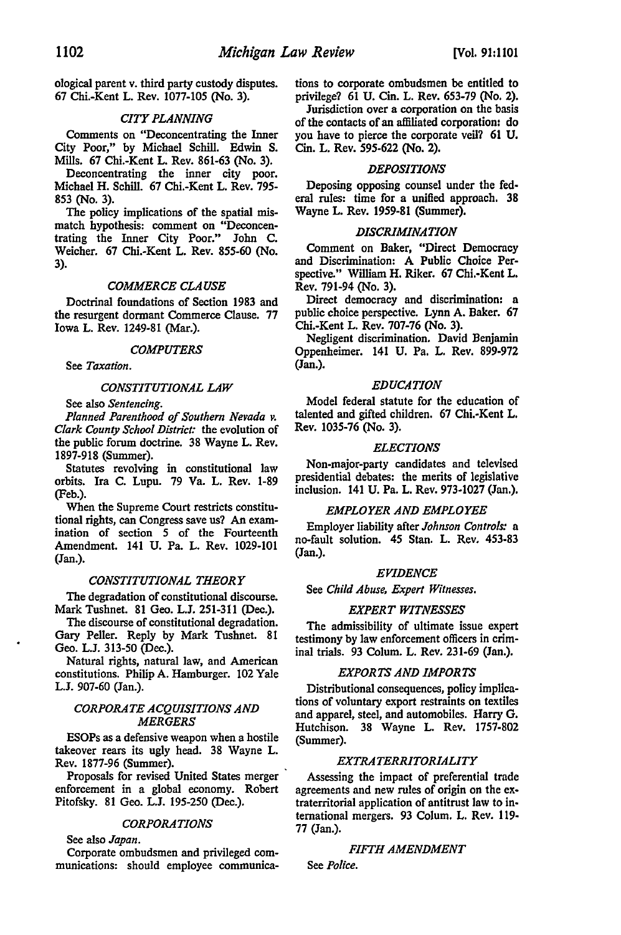ological parent v. third party custody disputes. 67 Chi.-Kent L. Rev. 1077-105 (No. 3).

## *CITY PLANNING*

Comments on "Deconcentrating the Inner City Poor,'' by Michael Schill. Edwin S. Mills. 67 Chi.-Kent L. Rev. 861-63 (No. 3).

Deconcentrating the inner city poor. Michael H. Schill. 67 Chi.-Kent L. Rev. 795- 853 (No. 3).

The policy implications of the spatial mismatch hypothesis: comment on "Deconcentrating the Inner City Poor." John C. Weicher. 67 Chi.-Kent L. Rev. 855-60 (No. 3).

#### *COMMERCE CLAUSE*

Doctrinal foundations of Section 1983 and the resurgent dormant Commerce Clause. 77 Iowa L. Rev. 1249-81 (Mar.).

#### *COMPUTERS*

See *Taxation.* 

#### *CONSTITUTIONAL LAW*

See also *Sentencing.* 

*Planned Parenthood of Southern Nevada v. Clark County School District:* the evolution of the public forum doctrine. 38 Wayne L. Rev. 1897-918 (Summer).

Statutes revolving in constitutional law orbits. Ira C. Lupu. 79 Va. L. Rev. 1-89 (Feb.).

When the Supreme Court restricts constitutional rights, can Congress save us? An examination of section *5* of the Fourteenth Amendment. 141 U. Pa. L. Rev. 1029-101 (Jan.).

#### *CONSTITUTIONAL THEORY*

The degradation of constitutional discourse. Mark Tushnet. 81 Geo. L.J. 251-311 (Dec.).

The discourse of constitutional degradation. Gary Peller. Reply by Mark Tushnet. 81 Geo. L.J. 313-50 (Dec.).

Natural rights, natural law, and American constitutions. Philip A. Hamburger. 102 Yale L.J. 907-60 (Jan.).

## *CORPORATE ACQUISITIONS AND MERGERS*

ESOPs as a defensive weapon when a hostile takeover rears its ugly head. 38 Wayne L. Rev. 1877-96 (Summer).

Proposals for revised United States merger enforcement in a global economy. Robert Pitofsky. 81 Geo. L.J. 195-250 (Dec.).

## *CORPORATIONS*

See also *Japan.* 

Corporate ombudsmen and privileged communications: should employee communications to corporate ombudsmen be entitled to privilege? 61 U. Cin. L. Rev. 653-79 (No. 2).

Jurisdiction over a corporation on the basis of the contacts of an affiliated corporation: do you have to pierce the corporate veil? 61 U. Cin. L. Rev. 595-622 (No. 2).

#### *DEPOSITIONS*

Deposing opposing counsel under the federal rules: time for a unified approach. 38 Wayne L. Rev. 1959-81 (Summer).

#### *DISCRIMINATION*

Comment on Baker, "Direct Democracy and Discrimination: A Public Choice Perspective." William H. Riker. 67 Chi.-Kent L. Rev. 791-94 (No. 3).

Direct democracy and discrimination: a public choice perspective. Lynn A. Baker. 67 Chi.-Kent L. Rev. 707-76 (No. 3).

Negligent discrimination. David Benjamin Oppenheimer. 141 U. Pa. L. Rev. 899-972 (Jan.).

#### *EDUCATION*

Model federal statute for the education of talented and gifted children. 67 Chi.-Kent L. Rev. 1035-76 (No. 3).

#### *ELECTIONS*

Non-major-party candidates and televised presidential debates: the merits of legislative inclusion. 141 U. Pa. L. Rev. 973-1027 (Jan.).

## *EMPLOYER AND EMPLOYEE*

Employer liability after *Johnson Controls:* a no-fault solution. 45 Stan. L. Rev. 453-83 (Jan.).

#### *EVIDENCE*

See *Child Abuse, Expert Witnesses.* 

#### *EXPERT WITNESSES*

The admissibility of ultimate issue expert testimony by law enforcement officers in criminal trials. 93 Colum. L. Rev. 231-69 (Jan.).

#### *EXPORTS AND IMPORTS*

Distributional consequences, policy implications of voluntary export restraints on textiles and apparel, steel, and automobiles. Harry G. Hutchison. 38 Wayne L. Rev. 1757-802 (Summer).

#### *EXTRATERRITORIALITY*

Assessing the impact of preferential trade agreements and new rules of origin on the extraterritorial application of antitrust law to international mergers. 93 Colum. L. Rev. 119- 77 (Jan.).

#### *FIFTH AMENDMENT*

See *Police.*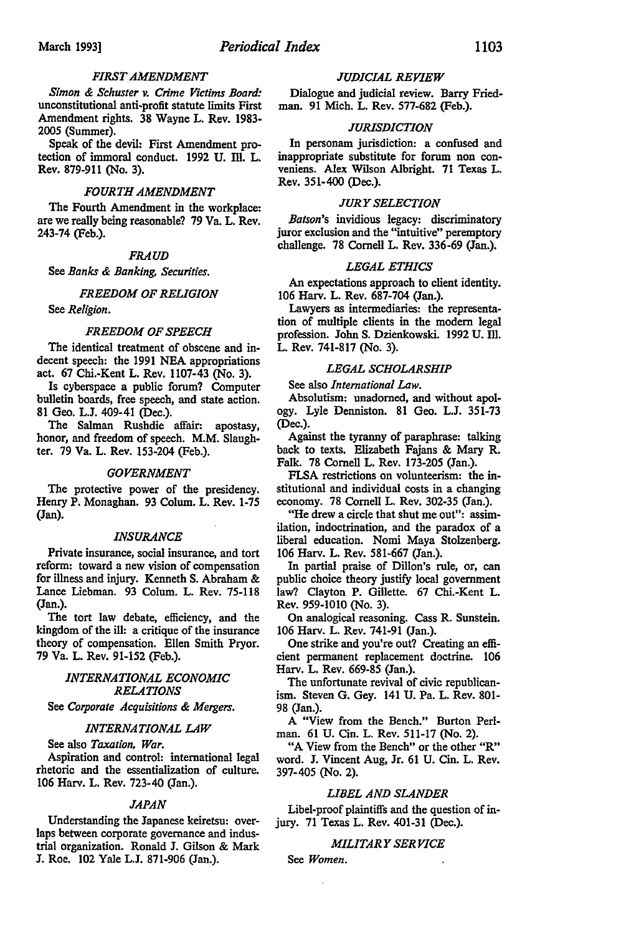## *FIRST AMENDMENT*

*Simon* & *Schuster v. Crime Victims Board:*  unconstitutional anti-profit statute limits First Amendment rights. 38 Wayne L. Rev. 1983- 2005 (Summer).

Speak of the devil: First Amendment protection of immoral conduct. 1992 U. III. L. Rev. 879-911 (No. 3).

## *FOURTH AMENDMENT*

The Fourth Amendment in the workplace: are we really being reasonable? 79 Va. L. Rev. 243-74 (Feb.).

## *FRAUD*

See *Banks* & *Banking, Securities.* 

#### *FREEDOM OF RELIGION*

See *Religion.* 

#### *FREEDOM OF SPEECH*

The identical treatment of obscene and indecent speech: the 1991 NEA appropriations act. 67 Chi.-Kent L. Rev. 1107-43 (No. 3).

Is cyberspace a public forum? Computer bulletin boards, free speech, and state action. 81 Geo. L.J. 409-41 (Dec.).

The Salman Rushdie affair: apostasy, honor, and freedom of speech. M.M. Slaughter. 79 Va. L. Rev. 153-204 (Feb.).

#### *GOVERNMENT*

The protective power of the presidency. Henry P. Monaghan. 93 Colum. L. Rev. 1-75 (Jan).

#### *INSURANCE*

Private insurance, social insurance, and tort reform: toward a new vision of compensation for illness and injury. Kenneth S. Abraham & Lance Liebman. 93 Colum. L. Rev. 75-118 (Jan.).

The tort law debate, efficiency, and the kingdom of the ill: a critique of the insurance theory of compensation. Ellen Smith Pryor. 79 Va. L. Rev. 91-152 (Feb.).

## *INTERNATIONAL ECONOMIC RELATIONS*

See *Corporate Acquisitions* & *Mergers.* 

#### *INTERNATIONAL LAW*

See also *Taxation, War.* 

Aspiration and control: international legal rhetoric and the essentialization of culture. 106 Harv. L. Rev. 723-40 (Jan.).

#### *JAPAN*

Understanding the Japanese keiretsu: overlaps between corporate governance and industrial organization. Ronald J. Gilson & Mark J. Roe. 102 Yale L.J. 871-906 (Jan.).

#### *JUDICIAL REVIEW*

Dialogue and judicial review. Barry Friedman. 91 Mich. L. Rev. 577-682 (Feb.).

#### *JURISDICTION*

In personam jurisdiction: a confused and inappropriate substitute for forum non conveniens. Alex Wilson Albright. 71 Texas L. Rev. 351-400 (Dec.).

#### *JURY SELECTION*

*Batson's* invidious legacy: discriminatory juror exclusion and the "intuitive" peremptory challenge. 78 Cornell L. Rev. 336-69 (Jan.).

#### *LEGAL ETHICS*

An expectations approach to client identity. 106 Harv. L. Rev. 687-704 (Jan.).

Lawyers as intermediaries: the representation of multiple clients in the modem legal profession. John S. Dzienkowski. 1992 U. Ill. L. Rev. 741-817 (No. 3).

## *LEGAL SCHOLARSHIP*

See also *International* Law.

Absolutism: unadorned, and without apology. Lyle Denniston. 81 Geo. L.J. 351-73 (Dec.).

Against the tyranny of paraphrase: talking back to texts. Elizabeth Fajans & Mary R. Falk. 78 Cornell L. Rev. 173-205 (Jan.).

FLSA restrictions on volunteerism: the institutional and individual costs in a changing economy. 78 Cornell L. Rev. 302-35 (Jan.).

"He drew a circle that shut me out": assimilation, indoctrination, and the paradox of a liberal education. Nomi Maya Stolzenberg. 106 Harv. L. Rev. 581-667 (Jan.).

In partial praise of Dillon's rule, or, can public choice theory justify local government Jaw? Clayton P. Gillette. 67 Chi.-Kent L. Rev. 959-1010 (No. 3).

On analogical reasoning. Cass R. Sunstein. 106 Harv. L. Rev. 741-91 (Jan.).

One strike and you're out? Creating an efficient permanent replacement doctrine. 106 Harv. L. Rev. 669-85 (Jan.).

The unfortunate revival of civic republicanism. Steven G. Gey. 141 U. Pa. L. Rev. 801- 98 (Jan.).

A "View from the Bench." Burton Perlman. 61 U. Cin. L. Rev. 511-17 (No. 2).

"A View from the Bench" or the other "R" word. J. Vincent Aug, Jr. 61 U. Cin. L. Rev. 397-405 (No. 2).

#### *LIBEL AND SLANDER*

Libel-proof plaintiffs and the question of injury. 71 Texas L. Rev. 401-31 (Dec.).

## *MILITARY SERVICE*

See *Women.*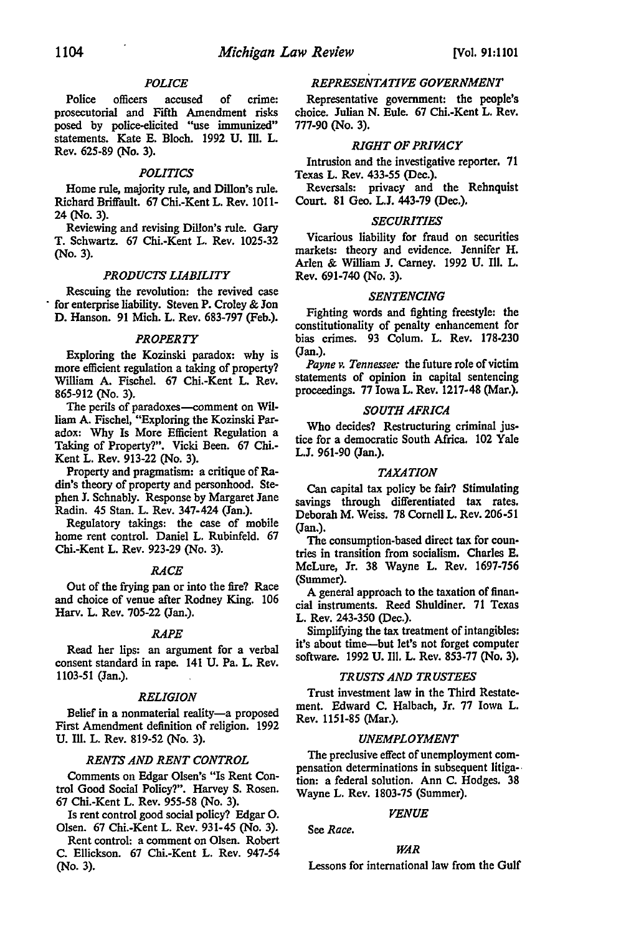## *POLICE*

Police officers accused of crime: prosecutorial and Fifth Amendment risks posed by police-elicited "use immunized" statements. Kate E. Bloch. 1992 U. Ill. L. Rev. 625-89 (No. 3).

## *POLITICS*

Home rule, majority rule, and Dillon's rule. Richard Briffault. 67 Chi.-Kent L. Rev. 1011- 24 (No. 3).

Reviewing and revising Dillon's rule. Gary T. Schwartz. 67 Chi.-Kent L. Rev. 1025-32 (No. 3).

#### *PRODUCTS LIABILITY*

Rescuing the revolution: the revived case for enterprise liability. Steven P. Croley & Jon D. Hanson. 91 Mich. L. Rev. 683-797 (Feb.).

## *PROPERTY*

Exploring the Kozinski paradox: why is more efficient regulation a taking of property? William A. Fischel. 67 Chi.-Kent L. Rev. 865-912 (No. 3).

The perils of paradoxes-comment on William A. Fischel, "Exploring the Kozinski Paradox: Why Is More Efficient Regulation a Taking of Property?". Vicki Been. 67 Chi.- Kent L. Rev. 913-22 (No. 3).

Property and pragmatism: a critique of Radin's theory of property and personhood. Stephen J. Schnably. Response by Margaret Jane Radin. 45 Stan. L. Rev. 347-424 (Jan.).

Regulatory takings: the case of mobile home rent control. Daniel L. Rubinfeld. 67 Chi.-Kent L. Rev. 923-29 (No. 3).

#### *RACE*

Out of the frying pan or into the fire? Race and choice of venue after Rodney King. 106 Harv. L. Rev. 705-22 (Jan.).

#### *RAPE*

Read her lips: an argument for a verbal consent standard in rape. 141 U. Pa. L. Rev. 1103-51 (Jan.).

#### *RELIGION*

Belief in a nonmaterial reality-a proposed First Amendment definition of religion. 1992 U. Ill. L. Rev. 819-52 (No. 3).

## *RENTS AND RENT CONTROL*

Comments on Edgar Olsen's "Is Rent Control Good Social Policy?". Harvey S. Rosen. 67 Chi.-Kent L. Rev. 955-58 (No. 3).

Is rent control good social policy? Edgar 0. Olsen. 67 Chi.-Kent L. Rev. 931-45 (No. 3).

Rent control: a comment on Olsen. Robert C. Ellickson. 67 Chi.-Kent L. Rev. 947-54 (No. 3).

## *REPRESENTATIVE GOVERNMENT*

Representative government: the people's choice. Julian N. Eule. 67 Chi.-Kent L. Rev. 777-90 (No. 3).

## *RIGHT OF PRIVACY*

Intrusion and the investigative reporter. 71 Texas L. Rev. 433-55 (Dec.).

Reversals: privacy and the Rehnquist Court. 81 Geo. L.J. 443-79 (Dec.).

#### *SECURITIES*

Vicarious liability for fraud on securities markets: theory and evidence. Jennifer H. Arlen & William J. Carney. 1992 U. Ill. L. Rev. 691-740 (No. 3).

## *SENTENCING*

Fighting words and fighting freestyle: the constitutionality of penalty enhancement for bias crimes. 93 Colum. L. Rev. 178-230 (Jan.).

*Payne v. Tennessee:* the future role of victim statements of opinion in capital sentencing proceedings. 77 Iowa L. Rev. 1217-48 (Mar.).

## *SOUTH AFRICA*

Who decides? Restructuring criminal justice for a democratic South Africa. 102 Yale L.J. 961-90 (Jan.).

## *TAXATION*

Can capital tax policy be fair? Stimulating savings through differentiated tax rates. Deborah M. Weiss. 78 Cornell L. Rev. 206-51 (Jan.).

The consumption-based direct tax for countries in transition from socialism. Charles E. McLure, Jr. 38 Wayne L. Rev. 1697-756 (Summer).

A general approach to the taxation of financial instruments. Reed Shuldiner. 71 Texas L. Rev. 243-350 (Dec.).

Simplifying the tax treatment of intangibles: it's about time-but let's not forget computer software. 1992 U. Ill. L. Rev. 853-77 (No. 3).

#### *TRUSTS AND TRUSTEES*

Trust investment law in the Third Restate· ment. Edward C. Halbach, Jr. 77 Iowa L. Rev. 1151-85 (Mar.).

## *UNEMPLOYMENT*

The preclusive effect of unemployment compensation determinations in subsequent litiga-· tion: a federal solution. Ann C. Hodges. 38 Wayne L. Rev. 1803-75 (Summer).

#### *VENUE*

See *Race.* 

## *WAR*

Lessons for international law from the Gulf